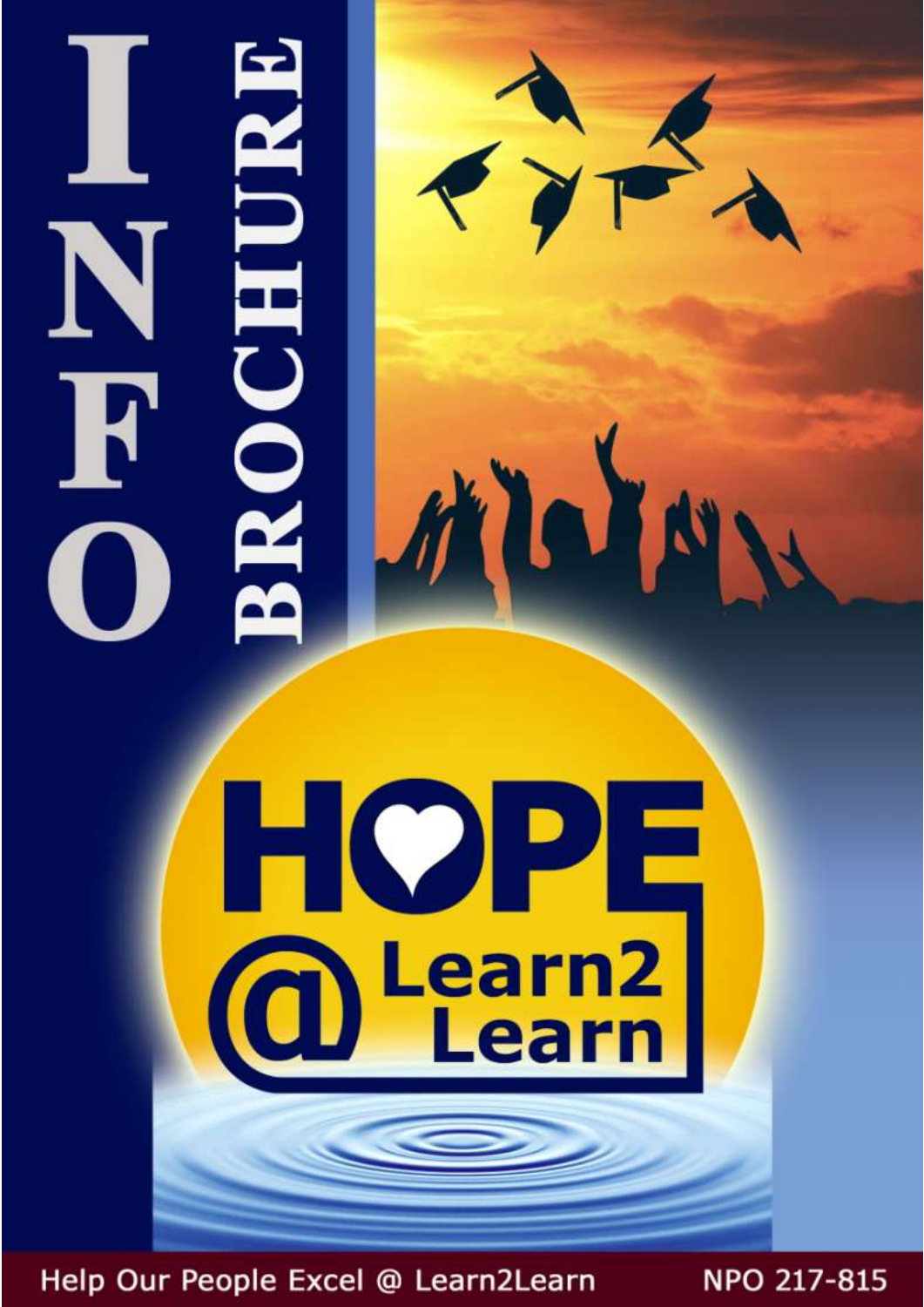# . ROCHUR N F

HOPE **a** Learn

E D'E

Help Our People Excel @ Learn2Learn

NPO 217-815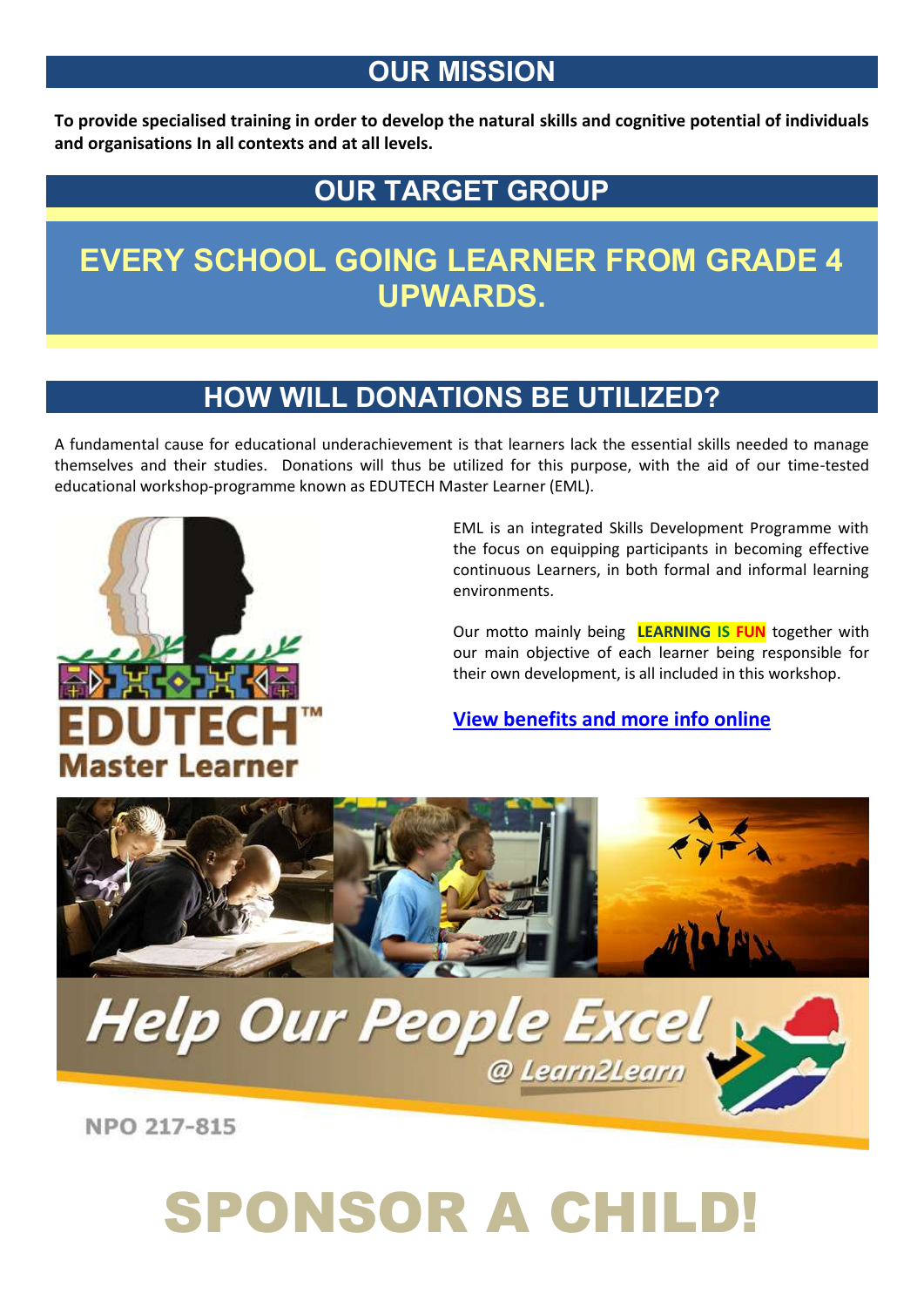#### **OUR MISSION**

**To provide specialised training in order to develop the natural skills and cognitive potential of individuals and organisations In all contexts and at all levels.**

#### **OUR TARGET GROUP**

#### **EVERY SCHOOL GOING LEARNER FROM GRADE 4 UPWARDS.**

#### **HOW WILL DONATIONS BE UTILIZED?**

A fundamental cause for educational underachievement is that learners lack the essential skills needed to manage themselves and their studies. Donations will thus be utilized for this purpose, with the aid of our time-tested educational workshop-programme known as EDUTECH Master Learner (EML).



EML is an integrated Skills Development Programme with the focus on equipping participants in becoming effective continuous Learners, in both formal and informal learning environments.

Our motto mainly being **LEARNING IS FUN** together with our main objective of each learner being responsible for their own development, is all included in this workshop.

**View [benefits and more info online](http://www.learn2learn.co.za/eml-benefits.html)**

@ Learn2Learn



NPO 217-815

## SPONSOR A CHILD!